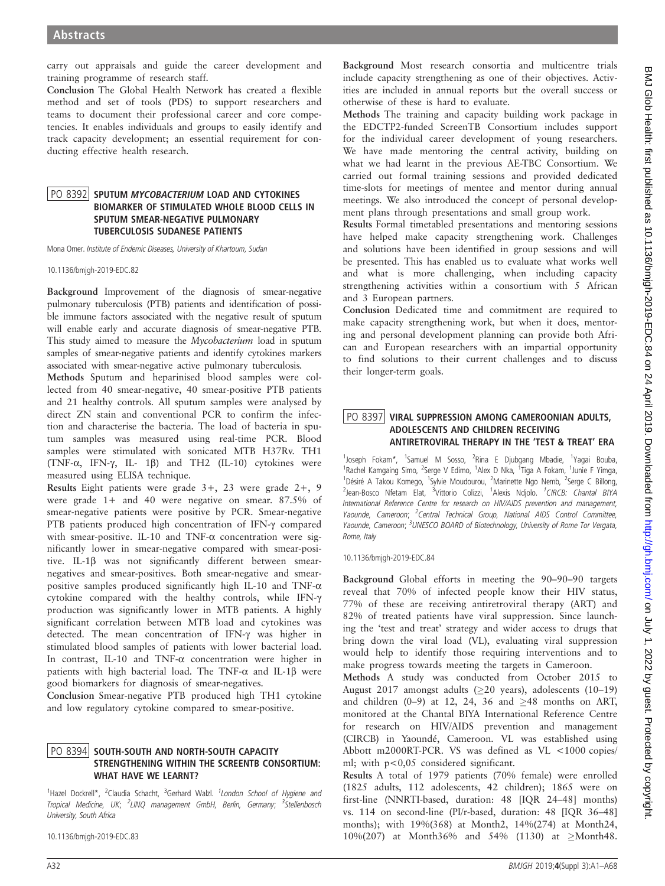carry out appraisals and guide the career development and training programme of research staff.

Conclusion The Global Health Network has created a flexible method and set of tools (PDS) to support researchers and teams to document their professional career and core competencies. It enables individuals and groups to easily identify and track capacity development; an essential requirement for conducting effective health research.

### <u>PO 8392</u> SPUTUM *MYCOBACTERIUM* LOAD AND CYTOKINES<br>BIOMARKER OF STIMULATED WHOLE BLOOD CELLS IN SPUTUM SMEAR-NEGATIVE PULMONARY TUBERCULOSIS SUDANESE PATIENTS

Mona Omer. Institute of Endemic Diseases, University of Khartoum, Sudan

10.1136/bmjgh-2019-EDC.82

Background Improvement of the diagnosis of smear-negative pulmonary tuberculosis (PTB) patients and identification of possible immune factors associated with the negative result of sputum will enable early and accurate diagnosis of smear-negative PTB. This study aimed to measure the Mycobacterium load in sputum samples of smear-negative patients and identify cytokines markers associated with smear-negative active pulmonary tuberculosis.

Methods Sputum and heparinised blood samples were collected from 40 smear-negative, 40 smear-positive PTB patients and 21 healthy controls. All sputum samples were analysed by direct ZN stain and conventional PCR to confirm the infection and characterise the bacteria. The load of bacteria in sputum samples was measured using real-time PCR. Blood samples were stimulated with sonicated MTB H37Rv. TH1 (TNF- $\alpha$ , IFN- $\gamma$ , IL- 1 $\beta$ ) and TH2 (IL-10) cytokines were measured using ELISA technique.

Results Eight patients were grade 3+, 23 were grade 2+, 9 were grade 1+ and 40 were negative on smear. 87.5% of smear-negative patients were positive by PCR. Smear-negative PTB patients produced high concentration of IFN- $\gamma$  compared with smear-positive. IL-10 and TNF- $\alpha$  concentration were significantly lower in smear-negative compared with smear-positive. IL-1b was not significantly different between smearnegatives and smear-positives. Both smear-negative and smearpositive samples produced significantly high IL-10 and TNF- $\alpha$ cytokine compared with the healthy controls, while IFN-g production was significantly lower in MTB patients. A highly significant correlation between MTB load and cytokines was detected. The mean concentration of IFN-g was higher in stimulated blood samples of patients with lower bacterial load. In contrast, IL-10 and TNF-a concentration were higher in patients with high bacterial load. The TNF- $\alpha$  and IL-1 $\beta$  were good biomarkers for diagnosis of smear-negatives.

Conclusion Smear-negative PTB produced high TH1 cytokine and low regulatory cytokine compared to smear-positive.

## PO 8394 SOUTH-SOUTH AND NORTH-SOUTH CAPACITY<br>STRENGTHENING WITHIN THE SCREENTB CONSORTIUM: WHAT HAVE WE LEARNT?

<sup>1</sup>Hazel Dockrell\*, <sup>2</sup>Claudia Schacht, <sup>3</sup>Gerhard Walzl. <sup>1</sup>London School of Hygiene and Tropical Medicine, UK; <sup>2</sup>LINQ management GmbH, Berlin, Germany; <sup>3</sup>Stellenbosch University, South Africa

10.1136/bmjgh-2019-EDC.83

Background Most research consortia and multicentre trials include capacity strengthening as one of their objectives. Activities are included in annual reports but the overall success or otherwise of these is hard to evaluate.

Methods The training and capacity building work package in the EDCTP2-funded ScreenTB Consortium includes support for the individual career development of young researchers. We have made mentoring the central activity, building on what we had learnt in the previous AE-TBC Consortium. We carried out formal training sessions and provided dedicated time-slots for meetings of mentee and mentor during annual meetings. We also introduced the concept of personal development plans through presentations and small group work.

Results Formal timetabled presentations and mentoring sessions have helped make capacity strengthening work. Challenges and solutions have been identified in group sessions and will be presented. This has enabled us to evaluate what works well and what is more challenging, when including capacity strengthening activities within a consortium with 5 African and 3 European partners.

Conclusion Dedicated time and commitment are required to make capacity strengthening work, but when it does, mentoring and personal development planning can provide both African and European researchers with an impartial opportunity to find solutions to their current challenges and to discuss their longer-term goals.

## PO 8397 VIRAL SUPPRESSION AMONG CAMEROONIAN ADULTS,<br>ADOLESCENTS AND CHILDREN RECEIVING ANTIRETROVIRAL THERAPY IN THE 'TEST & TREAT' ERA

<sup>1</sup>Joseph Fokam\*, <sup>1</sup>Samuel M Sosso, <sup>2</sup>Rina E Djubgang Mbadie, <sup>1</sup>Yagai Bouba, <sup>1</sup>Rachel Kamgaing Simo, <sup>2</sup>Serge V Edimo, <sup>1</sup>Alex D Nka, <sup>1</sup>Tiga A Fokam, <sup>1</sup>Junie F Yimga, <sup>1</sup>Désiré A Takou Komego, <sup>1</sup>Sylvie Moudourou, <sup>2</sup>Marinette Ngo Nemb, <sup>2</sup>Serge C Billong, <sup>2</sup>Jean-Bosco Nfetam Elat, <sup>3</sup>Vittorio Colizzi, <sup>1</sup>Alexis Ndjolo. <sup>1</sup>CIRCB: Chantal BIYA International Reference Centre for research on HIV/AIDS prevention and management, Yaounde, Cameroon; <sup>2</sup>Central Technical Group, National AIDS Control Committee, Yaounde, Cameroon; <sup>3</sup>UNESCO BOARD of Biotechnology, University of Rome Tor Vergata, Rome, Italy

10.1136/bmjgh-2019-EDC.84

Background Global efforts in meeting the 90–90–90 targets reveal that 70% of infected people know their HIV status, 77% of these are receiving antiretroviral therapy (ART) and 82% of treated patients have viral suppression. Since launching the 'test and treat' strategy and wider access to drugs that bring down the viral load (VL), evaluating viral suppression would help to identify those requiring interventions and to make progress towards meeting the targets in Cameroon.

Methods A study was conducted from October 2015 to August 2017 amongst adults  $(\geq 20 \text{ years})$ , adolescents  $(10-19)$ and children (0-9) at 12, 24, 36 and  $\geq$ 48 months on ART, monitored at the Chantal BIYA International Reference Centre for research on HIV/AIDS prevention and management (CIRCB) in Yaoundé, Cameroon. VL was established using Abbott m2000RT-PCR. VS was defined as VL <1000 copies/ ml; with p<0,05 considered significant.

Results A total of 1979 patients (70% female) were enrolled (1825 adults, 112 adolescents, 42 children); 1865 were on first-line (NNRTI-based, duration: 48 [IQR 24–48] months) vs. 114 on second-line (PI/r-based, duration: 48 [IQR 36–48] months); with 19%(368) at Month2, 14%(274) at Month24, 10%(207) at Month36% and 54% (1130) at  $\geq$ Month48.